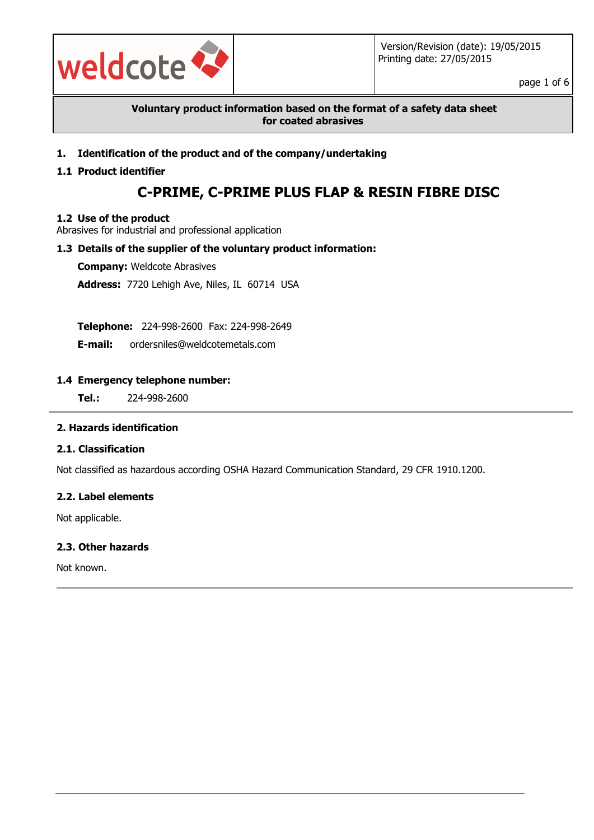

page 1 of 6

**Voluntary product information based on the format of a safety data sheet for coated abrasives**

**1. Identification of the product and of the company/undertaking**

### **1.1 Product identifier**

# **C-PRIME, C-PRIME PLUS FLAP & RESIN FIBRE DISC**

### **1.2 Use of the product**

Abrasives for industrial and professional application

### **1.3 Details of the supplier of the voluntary product information:**

**Company:** Weldcote Abrasives

**Address:** 7720 Lehigh Ave, Niles, IL 60714 USA

**Telephone:** 224-998-2600 Fax: 224-998-2649

**E-mail:** ordersniles@weldcotemetals.com

### **1.4 Emergency telephone number:**

**Tel.:** 224-998-2600

### **2. Hazards identification**

### **2.1. Classification**

Not classified as hazardous according OSHA Hazard Communication Standard, 29 CFR 1910.1200.

### **2.2. Label elements**

Not applicable.

### **2.3. Other hazards**

Not known.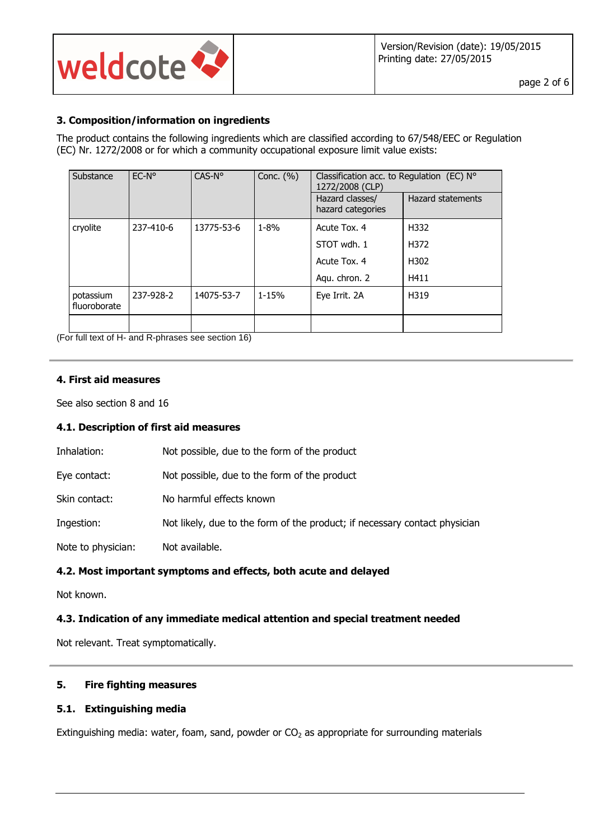

### **3. Composition/information on ingredients**

The product contains the following ingredients which are classified according to 67/548/EEC or Regulation (EC) Nr. 1272/2008 or for which a community occupational exposure limit value exists:

| Substance                 | $EC-No$   | CAS-N°     | Conc. $(\% )$ | Classification acc. to Regulation (EC) $N^{\circ}$<br>1272/2008 (CLP) |                          |
|---------------------------|-----------|------------|---------------|-----------------------------------------------------------------------|--------------------------|
|                           |           |            |               | Hazard classes/<br>hazard categories                                  | <b>Hazard statements</b> |
| cryolite                  | 237-410-6 | 13775-53-6 | $1 - 8\%$     | Acute Tox. 4                                                          | H332                     |
|                           |           |            |               | STOT wdh. 1                                                           | H372                     |
|                           |           |            |               | Acute Tox. 4                                                          | H302                     |
|                           |           |            |               | Aqu. chron. 2                                                         | H411                     |
| potassium<br>fluoroborate | 237-928-2 | 14075-53-7 | $1 - 15%$     | Eye Irrit. 2A                                                         | H319                     |
|                           |           |            |               |                                                                       |                          |

(For full text of H- and R-phrases see section 16)

### **4. First aid measures**

See also section 8 and 16

### **4.1. Description of first aid measures**

| Inhalation:        | Not possible, due to the form of the product                               |
|--------------------|----------------------------------------------------------------------------|
| Eye contact:       | Not possible, due to the form of the product                               |
| Skin contact:      | No harmful effects known                                                   |
| Ingestion:         | Not likely, due to the form of the product; if necessary contact physician |
| Note to physician: | Not available.                                                             |

### **4.2. Most important symptoms and effects, both acute and delayed**

Not known.

### **4.3. Indication of any immediate medical attention and special treatment needed**

Not relevant. Treat symptomatically.

### **5. Fire fighting measures**

### **5.1. Extinguishing media**

Extinguishing media: water, foam, sand, powder or  $CO<sub>2</sub>$  as appropriate for surrounding materials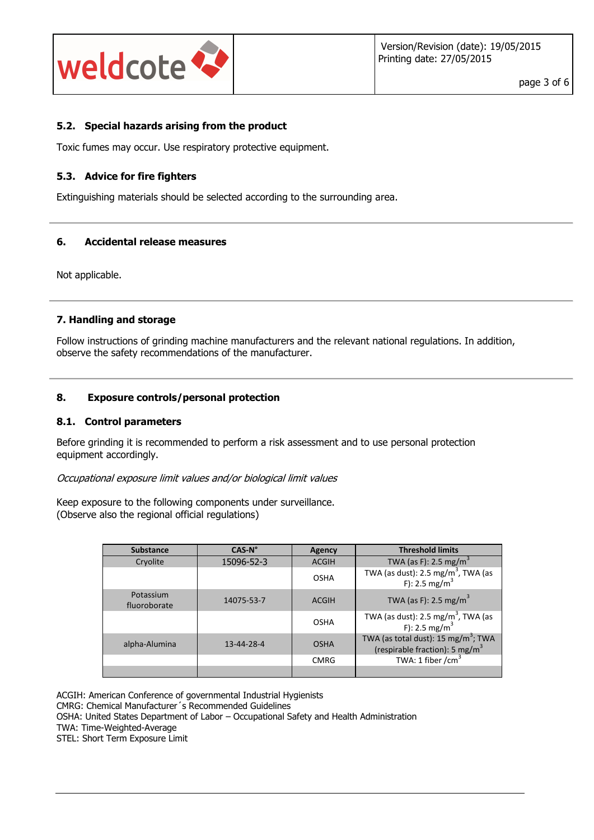

### **5.2. Special hazards arising from the product**

Toxic fumes may occur. Use respiratory protective equipment.

### **5.3. Advice for fire fighters**

Extinguishing materials should be selected according to the surrounding area.

### **6. Accidental release measures**

Not applicable.

### **7. Handling and storage**

Follow instructions of grinding machine manufacturers and the relevant national regulations. In addition, observe the safety recommendations of the manufacturer.

#### **8. Exposure controls/personal protection**

#### **8.1. Control parameters**

Before grinding it is recommended to perform a risk assessment and to use personal protection equipment accordingly.

Occupational exposure limit values and/or biological limit values

Keep exposure to the following components under surveillance. (Observe also the regional official regulations)

| <b>Substance</b>          | $CAS-No$   | Agency       | <b>Threshold limits</b>                                                                                                        |  |
|---------------------------|------------|--------------|--------------------------------------------------------------------------------------------------------------------------------|--|
| Cryolite                  | 15096-52-3 | <b>ACGIH</b> | TWA (as F): 2.5 mg/m <sup>3</sup>                                                                                              |  |
|                           |            | <b>OSHA</b>  | TWA (as dust): $2.5 \text{ mg/m}^3$ , TWA (as<br>F): 2.5 mg/m <sup>3</sup>                                                     |  |
| Potassium<br>fluoroborate | 14075-53-7 | <b>ACGIH</b> | TWA (as F): 2.5 mg/m <sup>3</sup>                                                                                              |  |
|                           |            | OSHA         | TWA (as dust): 2.5 mg/m <sup>3</sup> , TWA (as<br>F): 2.5 mg/m <sup>3</sup>                                                    |  |
| alpha-Alumina             | 13-44-28-4 | <b>OSHA</b>  | TWA (as total dust): 15 mg/m <sup>3</sup> ; TWA<br>(respirable fraction): 5 mg/m <sup>3</sup><br>TWA: 1 fiber /cm <sup>3</sup> |  |
|                           |            | <b>CMRG</b>  |                                                                                                                                |  |
|                           |            |              |                                                                                                                                |  |

ACGIH: American Conference of governmental Industrial Hygienists CMRG: Chemical Manufacturer´s Recommended Guidelines OSHA: United States Department of Labor – Occupational Safety and Health Administration TWA: Time-Weighted-Average STEL: Short Term Exposure Limit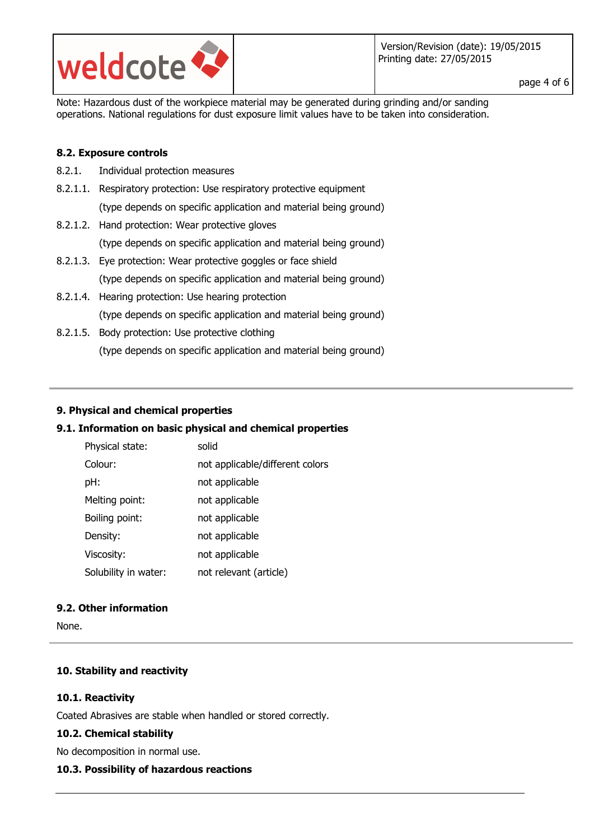

page 4 of 6

Note: Hazardous dust of the workpiece material may be generated during grinding and/or sanding operations. National regulations for dust exposure limit values have to be taken into consideration.

### **8.2. Exposure controls**

- 8.2.1. Individual protection measures
- 8.2.1.1. Respiratory protection: Use respiratory protective equipment (type depends on specific application and material being ground)
- 8.2.1.2. Hand protection: Wear protective gloves (type depends on specific application and material being ground)
- 8.2.1.3. Eye protection: Wear protective goggles or face shield (type depends on specific application and material being ground)
- 8.2.1.4. Hearing protection: Use hearing protection (type depends on specific application and material being ground)
- 8.2.1.5. Body protection: Use protective clothing (type depends on specific application and material being ground)

### **9. Physical and chemical properties**

### **9.1. Information on basic physical and chemical properties**

| Physical state:      | solid                           |
|----------------------|---------------------------------|
| Colour:              | not applicable/different colors |
| pH:                  | not applicable                  |
| Melting point:       | not applicable                  |
| Boiling point:       | not applicable                  |
| Density:             | not applicable                  |
| Viscosity:           | not applicable                  |
| Solubility in water: | not relevant (article)          |

### **9.2. Other information**

None.

### **10. Stability and reactivity**

### **10.1. Reactivity**

Coated Abrasives are stable when handled or stored correctly.

### **10.2. Chemical stability**

No decomposition in normal use.

### **10.3. Possibility of hazardous reactions**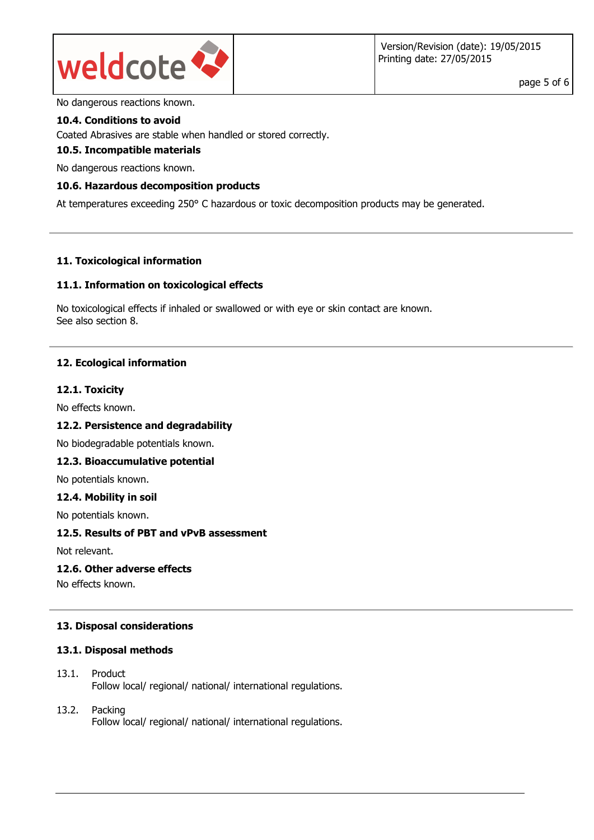

No dangerous reactions known.

### **10.4. Conditions to avoid**

Coated Abrasives are stable when handled or stored correctly.

#### **10.5. Incompatible materials**

No dangerous reactions known.

### **10.6. Hazardous decomposition products**

At temperatures exceeding 250° C hazardous or toxic decomposition products may be generated.

### **11. Toxicological information**

### **11.1. Information on toxicological effects**

No toxicological effects if inhaled or swallowed or with eye or skin contact are known. See also section 8.

### **12. Ecological information**

#### **12.1. Toxicity**

No effects known.

### **12.2. Persistence and degradability**

No biodegradable potentials known.

### **12.3. Bioaccumulative potential**

No potentials known.

#### **12.4. Mobility in soil**

No potentials known.

### **12.5. Results of PBT and vPvB assessment**

Not relevant.

#### **12.6. Other adverse effects**

No effects known.

### **13. Disposal considerations**

### **13.1. Disposal methods**

- 13.1. Product Follow local/ regional/ national/ international regulations.
- 13.2. Packing Follow local/ regional/ national/ international regulations.